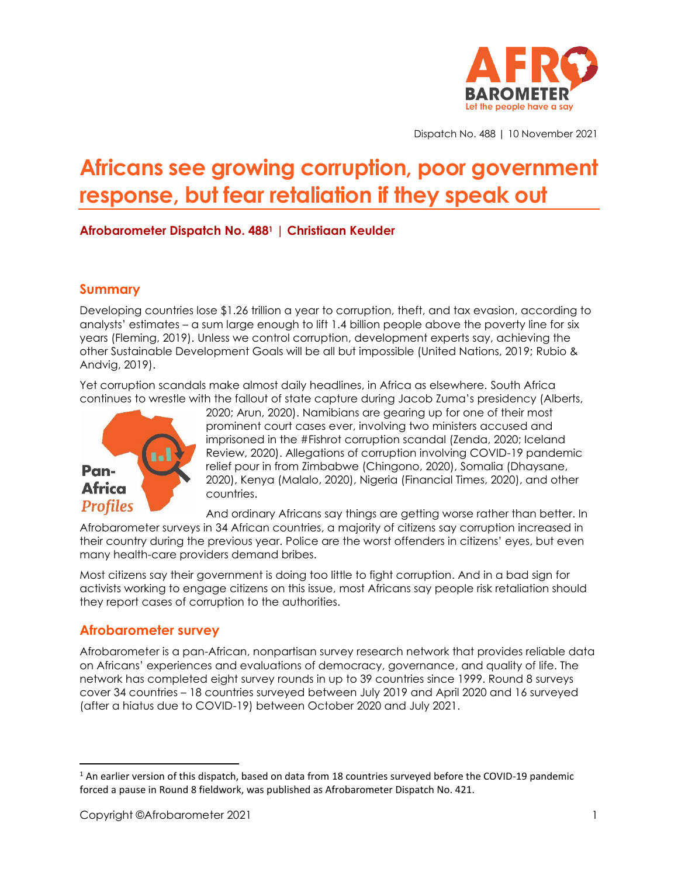

Dispatch No. 488 | 10 November 2021

# **Africans see growing corruption, poor government response, but fear retaliation if they speak out**

# **Afrobarometer Dispatch No. 488<sup>1</sup> | Christiaan Keulder**

# **Summary**

Developing countries lose \$1.26 trillion a year to corruption, theft, and tax evasion, according to analysts' estimates – a sum large enough to lift 1.4 billion people above the poverty line for six years (Fleming, 2019). Unless we control corruption, development experts say, achieving the other Sustainable Development Goals will be all but impossible (United Nations, 2019; Rubio & Andvig, 2019).

Yet corruption scandals make almost daily headlines, in Africa as elsewhere. South Africa continues to wrestle with the fallout of state capture during Jacob Zuma's presidency (Alberts,



2020; Arun, 2020). Namibians are gearing up for one of their most prominent court cases ever, involving two ministers accused and imprisoned in the #Fishrot corruption scandal (Zenda, 2020; Iceland Review, 2020). Allegations of corruption involving COVID-19 pandemic relief pour in from Zimbabwe (Chingono, 2020), Somalia (Dhaysane, 2020), Kenya (Malalo, 2020), Nigeria (Financial Times, 2020), and other countries.

And ordinary Africans say things are getting worse rather than better. In

Afrobarometer surveys in 34 African countries, a majority of citizens say corruption increased in their country during the previous year. Police are the worst offenders in citizens' eyes, but even many health-care providers demand bribes.

Most citizens say their government is doing too little to fight corruption. And in a bad sign for activists working to engage citizens on this issue, most Africans say people risk retaliation should they report cases of corruption to the authorities.

# **Afrobarometer survey**

Afrobarometer is a pan-African, nonpartisan survey research network that provides reliable data on Africans' experiences and evaluations of democracy, governance, and quality of life. The network has completed eight survey rounds in up to 39 countries since 1999. Round 8 surveys cover 34 countries – 18 countries surveyed between July 2019 and April 2020 and 16 surveyed (after a hiatus due to COVID-19) between October 2020 and July 2021.

 $1$  An earlier version of this dispatch, based on data from 18 countries surveyed before the COVID-19 pandemic forced a pause in Round 8 fieldwork, was published as Afrobarometer Dispatch No. 421.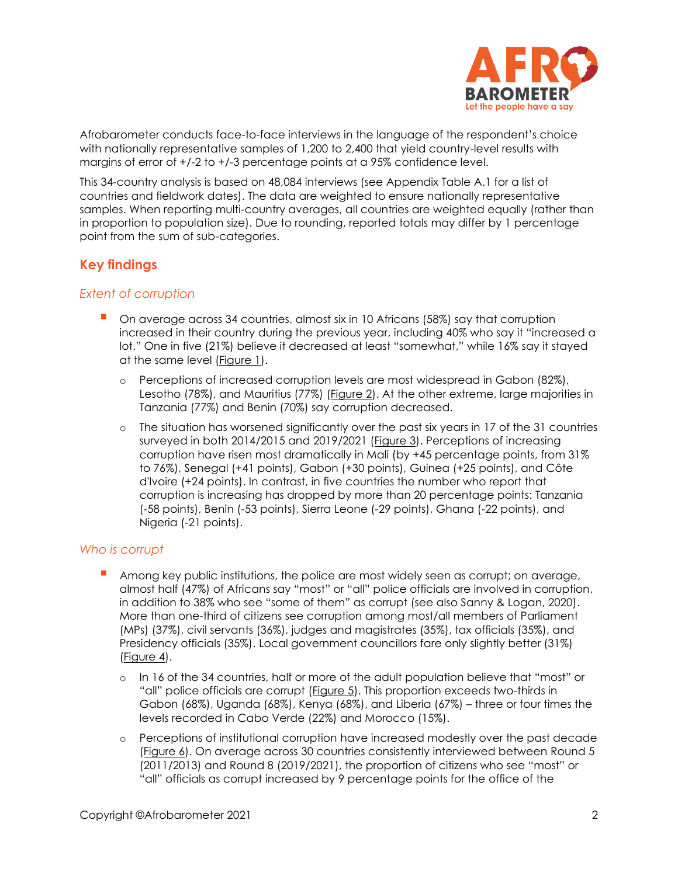

Afrobarometer conducts face-to-face interviews in the language of the respondent's choice with nationally representative samples of 1,200 to 2,400 that yield country-level results with margins of error of +/-2 to +/-3 percentage points at a 95% confidence level.

This 34-country analysis is based on 48,084 interviews (see Appendix Table A.1 for a list of countries and fieldwork dates). The data are weighted to ensure nationally representative samples. When reporting multi-country averages, all countries are weighted equally (rather than in proportion to population size). Due to rounding, reported totals may differ by 1 percentage point from the sum of sub-categories.

# **Key findings**

## *Extent of corruption*

- On average across 34 countries, almost six in 10 Africans (58%) say that corruption increased in their country during the previous year, including 40% who say it "increased a lot." One in five (21%) believe it decreased at least "somewhat," while 16% say it stayed at the same level [\(Figure 1\)](#page-3-0).
	- o Perceptions of increased corruption levels are most widespread in Gabon (82%), Lesotho (78%), and Mauritius (77%) [\(Figure 2\)](#page-4-0). At the other extreme, large majorities in Tanzania (77%) and Benin (70%) say corruption decreased.
	- o The situation has worsened significantly over the past six years in 17 of the 31 countries surveyed in both 2014/2015 and 2019/2021 [\(Figure 3\)](#page-5-0). Perceptions of increasing corruption have risen most dramatically in Mali (by +45 percentage points, from 31% to 76%), Senegal (+41 points), Gabon (+30 points), Guinea (+25 points), and Côte d'Ivoire (+24 points). In contrast, in five countries the number who report that corruption is increasing has dropped by more than 20 percentage points: Tanzania (-58 points), Benin (-53 points), Sierra Leone (-29 points), Ghana (-22 points), and Nigeria (-21 points).

## *Who is corrupt*

- Among key public institutions, the police are most widely seen as corrupt; on average, almost half (47%) of Africans say "most" or "all" police officials are involved in corruption, in addition to 38% who see "some of them" as corrupt (see also Sanny & Logan, 2020). More than one-third of citizens see corruption among most/all members of Parliament (MPs) (37%), civil servants (36%), judges and magistrates (35%), tax officials (35%), and Presidency officials (35%). Local government councillors fare only slightly better (31%) [\(Figure 4\)](#page-6-0).
	- o In 16 of the 34 countries, half or more of the adult population believe that "most" or "all" police officials are corrupt (**Figure 5**). This proportion exceeds two-thirds in Gabon (68%), Uganda (68%), Kenya (68%), and Liberia (67%) – three or four times the levels recorded in Cabo Verde (22%) and Morocco (15%).
	- o Perceptions of institutional corruption have increased modestly over the past decade [\(Figure 6\)](#page-8-0). On average across 30 countries consistently interviewed between Round 5 (2011/2013) and Round 8 (2019/2021), the proportion of citizens who see "most" or "all" officials as corrupt increased by 9 percentage points for the office of the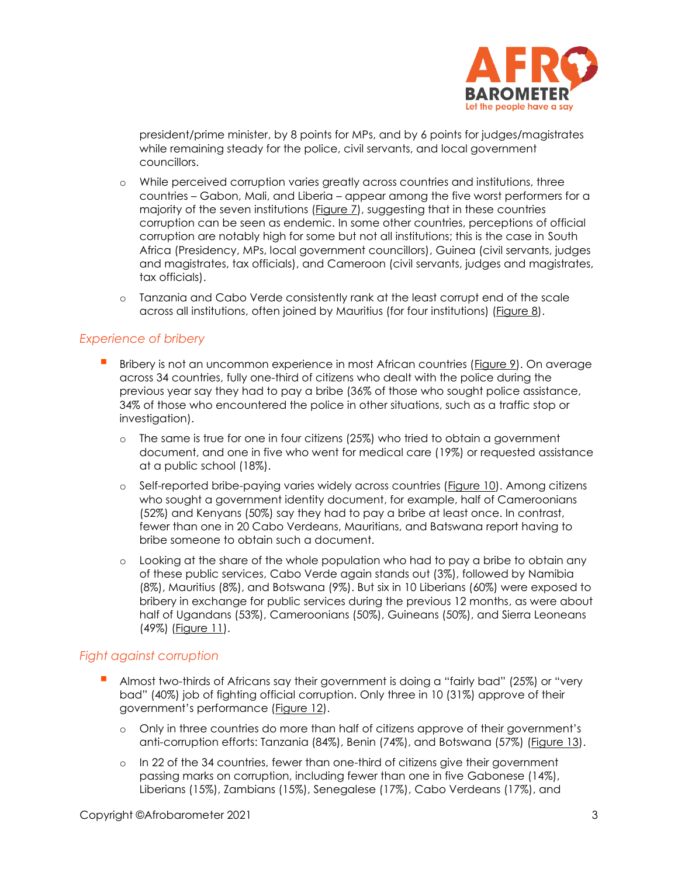

president/prime minister, by 8 points for MPs, and by 6 points for judges/magistrates while remaining steady for the police, civil servants, and local government councillors.

- o While perceived corruption varies greatly across countries and institutions, three countries – Gabon, Mali, and Liberia – appear among the five worst performers for a majority of the seven institutions [\(Figure 7\)](#page-9-0), suggesting that in these countries corruption can be seen as endemic. In some other countries, perceptions of official corruption are notably high for some but not all institutions; this is the case in South Africa (Presidency, MPs, local government councillors), Guinea (civil servants, judges and magistrates, tax officials), and Cameroon (civil servants, judges and magistrates, tax officials).
- o Tanzania and Cabo Verde consistently rank at the least corrupt end of the scale across all institutions, often joined by Mauritius (for four institutions) [\(Figure 8\)](#page-9-1).

## *Experience of bribery*

- Bribery is not an uncommon experience in most African countries [\(Figure 9\)](#page-10-0). On average across 34 countries, fully one-third of citizens who dealt with the police during the previous year say they had to pay a bribe (36% of those who sought police assistance, 34% of those who encountered the police in other situations, such as a traffic stop or investigation).
	- o The same is true for one in four citizens (25%) who tried to obtain a government document, and one in five who went for medical care (19%) or requested assistance at a public school (18%).
	- o Self-reported bribe-paying varies widely across countries [\(Figure 10\)](#page-11-0). Among citizens who sought a government identity document, for example, half of Cameroonians (52%) and Kenyans (50%) say they had to pay a bribe at least once. In contrast, fewer than one in 20 Cabo Verdeans, Mauritians, and Batswana report having to bribe someone to obtain such a document.
	- o Looking at the share of the whole population who had to pay a bribe to obtain any of these public services, Cabo Verde again stands out (3%), followed by Namibia (8%), Mauritius (8%), and Botswana (9%). But six in 10 Liberians (60%) were exposed to bribery in exchange for public services during the previous 12 months, as were about half of Ugandans (53%), Cameroonians (50%), Guineans (50%), and Sierra Leoneans (49%) [\(Figure 11\)](#page-12-0).

## *Fight against corruption*

- Almost two-thirds of Africans say their government is doing a "fairly bad" (25%) or "very bad" (40%) job of fighting official corruption. Only three in 10 (31%) approve of their government's performance ([Figure 12\)](#page-13-0).
	- o Only in three countries do more than half of citizens approve of their government's anti-corruption efforts: Tanzania (84%), Benin (74%), and Botswana (57%) [\(Figure 13\)](#page-14-0).
	- o In 22 of the 34 countries, fewer than one-third of citizens give their government passing marks on corruption, including fewer than one in five Gabonese (14%), Liberians (15%), Zambians (15%), Senegalese (17%), Cabo Verdeans (17%), and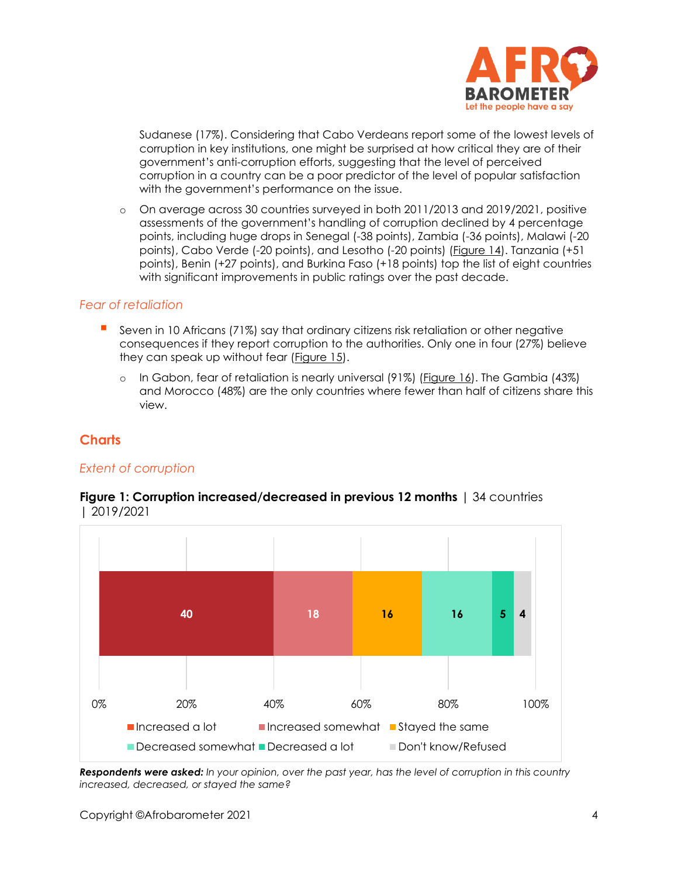

Sudanese (17%). Considering that Cabo Verdeans report some of the lowest levels of corruption in key institutions, one might be surprised at how critical they are of their government's anti-corruption efforts, suggesting that the level of perceived corruption in a country can be a poor predictor of the level of popular satisfaction with the government's performance on the issue.

o On average across 30 countries surveyed in both 2011/2013 and 2019/2021, positive assessments of the government's handling of corruption declined by 4 percentage points, including huge drops in Senegal (-38 points), Zambia (-36 points), Malawi (-20 points), Cabo Verde (-20 points), and Lesotho (-20 points) [\(Figure 14\)](#page-15-0). Tanzania (+51 points), Benin (+27 points), and Burkina Faso (+18 points) top the list of eight countries with significant improvements in public ratings over the past decade.

#### *Fear of retaliation*

- **E** Seven in 10 Africans (71%) say that ordinary citizens risk retaliation or other negative consequences if they report corruption to the authorities. Only one in four (27%) believe they can speak up without fear [\(Figure 15\)](#page-16-0).
	- o In Gabon, fear of retaliation is nearly universal (91%) [\(Figure 16\)](#page-16-1). The Gambia (43%) and Morocco (48%) are the only countries where fewer than half of citizens share this view.

# **Charts**

## *Extent of corruption*

#### <span id="page-3-0"></span>**Figure 1: Corruption increased/decreased in previous 12 months** | 34 countries | 2019/2021



*Respondents were asked: In your opinion, over the past year, has the level of corruption in this country increased, decreased, or stayed the same?*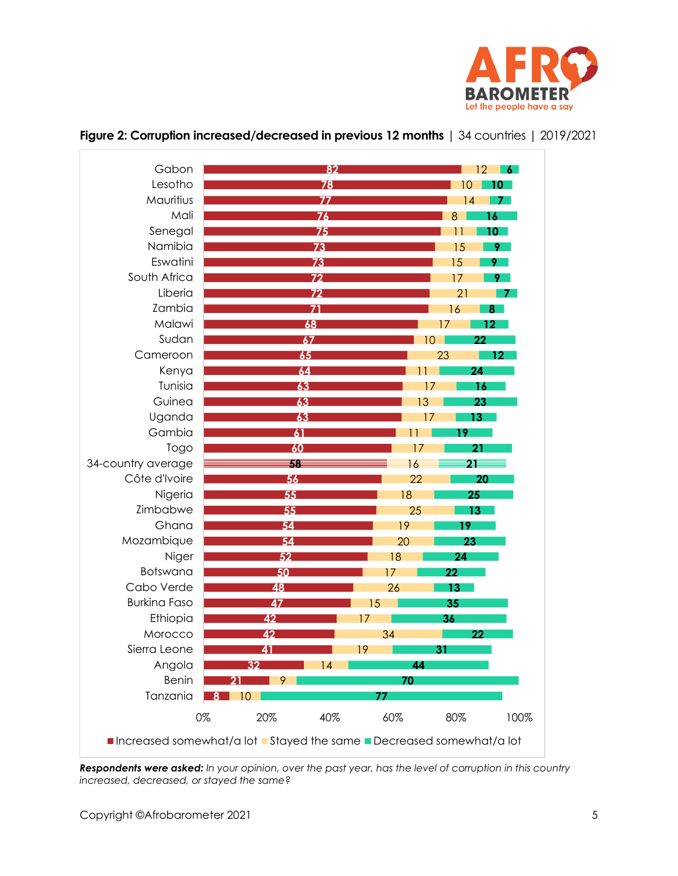

| Gabon               |                                                                   | 82              |             | 12<br>6.       |
|---------------------|-------------------------------------------------------------------|-----------------|-------------|----------------|
| Lesotho             |                                                                   | 78              | 10          | 10             |
| Mauritius           |                                                                   | $\overline{77}$ | 14          | 7.             |
| Mali                |                                                                   | $\overline{76}$ | 8           | 16             |
| Senegal             |                                                                   | 75              |             | 10 I           |
| Namibia             | $\overline{73}$                                                   |                 | 15          | 9 <sup>2</sup> |
| Eswatini            | $\overline{73}$                                                   |                 | 15          | $9 -$          |
| South Africa        | 72                                                                |                 | 17          | 9.             |
| Liberia             | $\overline{72}$                                                   |                 | 21          | 7.             |
| Zambia              |                                                                   |                 | 16          | 8              |
| Malawi              | 68                                                                |                 | 17          | 12             |
| Sudan               | 67                                                                |                 | 10          | 22             |
| Cameroon            | 65                                                                |                 | 23          | 12             |
| Kenya               | 64                                                                |                 | 11          | 24             |
| Tunisia             | 63                                                                |                 | 17          | 16             |
| Guinea              | 63                                                                |                 | 13          | 23             |
| Uganda              | 63                                                                |                 | 17          | 13             |
| Gambia              | 61                                                                |                 | 11<br>19.   |                |
| Togo                | 60                                                                |                 | 17          | 21             |
| 34-country average  | 58                                                                |                 | 16          | 21             |
| Côte d'Ivoire       | $\overline{56}$                                                   |                 | 22          | 20             |
| Nigeria             | 55                                                                |                 | 18          | 25             |
| Zimbabwe            | 55                                                                |                 | 25          | 13             |
| Ghana               | 54                                                                |                 | 19<br>$19-$ |                |
| Mozambique          | 54                                                                |                 | 20<br>23    |                |
| Niger               | 52                                                                | 18              | 24          |                |
| Botswana            | 50                                                                | 17              | 22          |                |
| Cabo Verde          | 48                                                                | 26              | 13          |                |
| <b>Burkina Faso</b> | 47                                                                | 15              | 35          |                |
| Ethiopia            | 42                                                                | 17              | 36          |                |
| Morocco             | 42                                                                | 34              |             | 22             |
| Sierra Leone        | 41                                                                | 19              | 31          |                |
| Angola              | 32                                                                | 14              | 44          |                |
| <b>Benin</b>        | 9                                                                 |                 | 70          |                |
| Tanzania            | 10                                                                |                 |             |                |
|                     | 0%<br>20%                                                         | 40%<br>60%      | 80%         | 100%           |
|                     | Increased somewhat/a lot Stayed the same Decreased somewhat/a lot |                 |             |                |

# <span id="page-4-0"></span>**Figure 2: Corruption increased/decreased in previous 12 months** | 34 countries | 2019/2021

*Respondents were asked: In your opinion, over the past year, has the level of corruption in this country increased, decreased, or stayed the same?*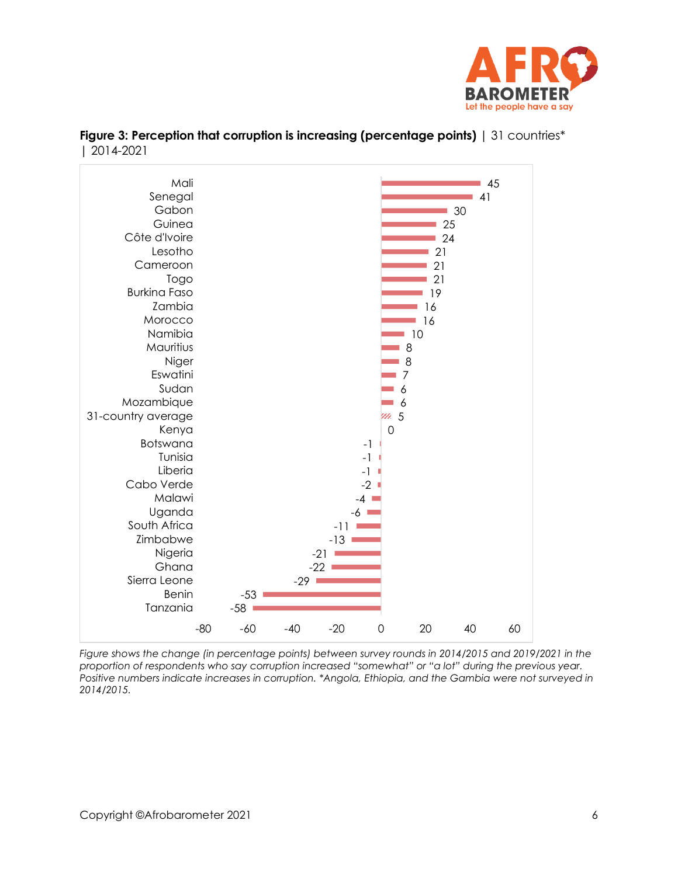



<span id="page-5-0"></span>

| <b>Figure 3: Perception that corruption is increasing (percentage points)</b>   31 countries* |  |  |
|-----------------------------------------------------------------------------------------------|--|--|
| $ 2014-2021$                                                                                  |  |  |

*Figure shows the change (in percentage points) between survey rounds in 2014/2015 and 2019/2021 in the proportion of respondents who say corruption increased "somewhat" or "a lot" during the previous year. Positive numbers indicate increases in corruption. \*Angola, Ethiopia, and the Gambia were not surveyed in 2014/2015.*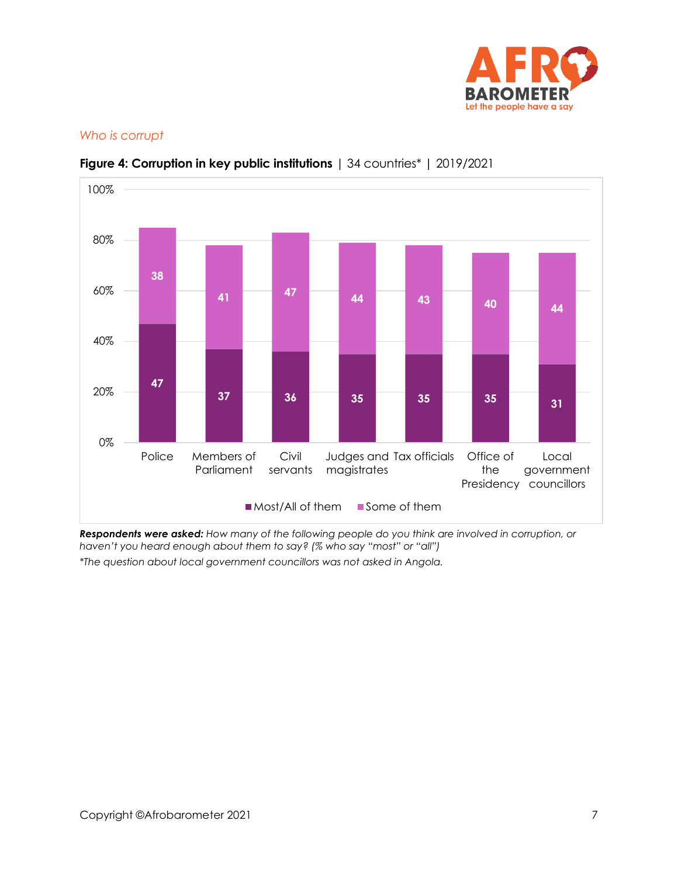

# *Who is corrupt*



# <span id="page-6-0"></span>**Figure 4: Corruption in key public institutions** | 34 countries\* | 2019/2021

*Respondents were asked: How many of the following people do you think are involved in corruption, or haven't you heard enough about them to say? (% who say "most" or "all")*

*\*The question about local government councillors was not asked in Angola.*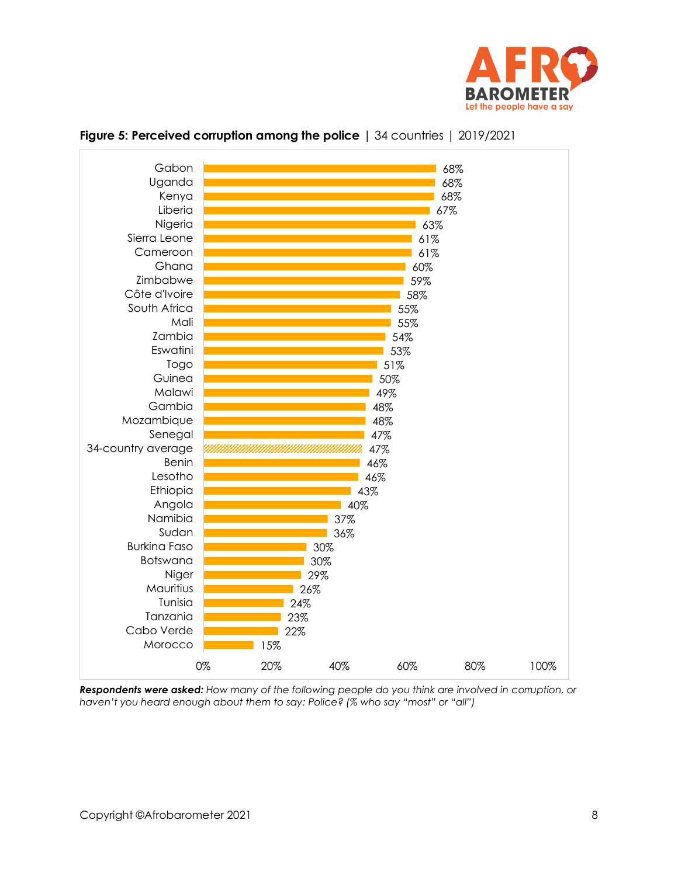



#### <span id="page-7-0"></span>**Figure 5: Perceived corruption among the police** | 34 countries | 2019/2021

*Respondents were asked: How many of the following people do you think are involved in corruption, or haven't you heard enough about them to say: Police? (% who say "most" or "all")*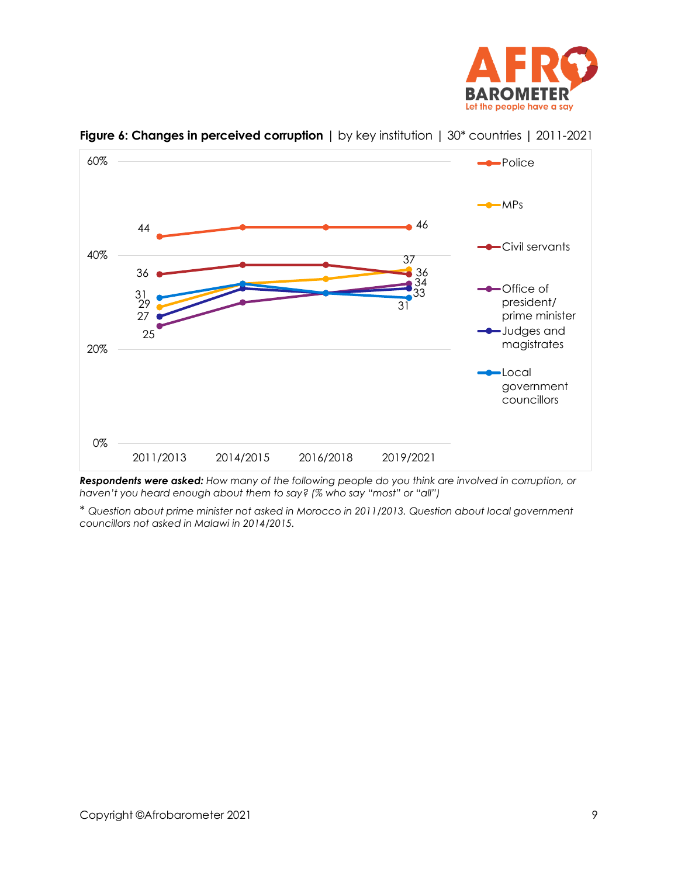



<span id="page-8-0"></span>**Figure 6: Changes in perceived corruption** | by key institution | 30<sup>\*</sup> countries | 2011-2021

*Respondents were asked: How many of the following people do you think are involved in corruption, or haven't you heard enough about them to say? (% who say "most" or "all")*

\* *Question about prime minister not asked in Morocco in 2011/2013. Question about local government councillors not asked in Malawi in 2014/2015.*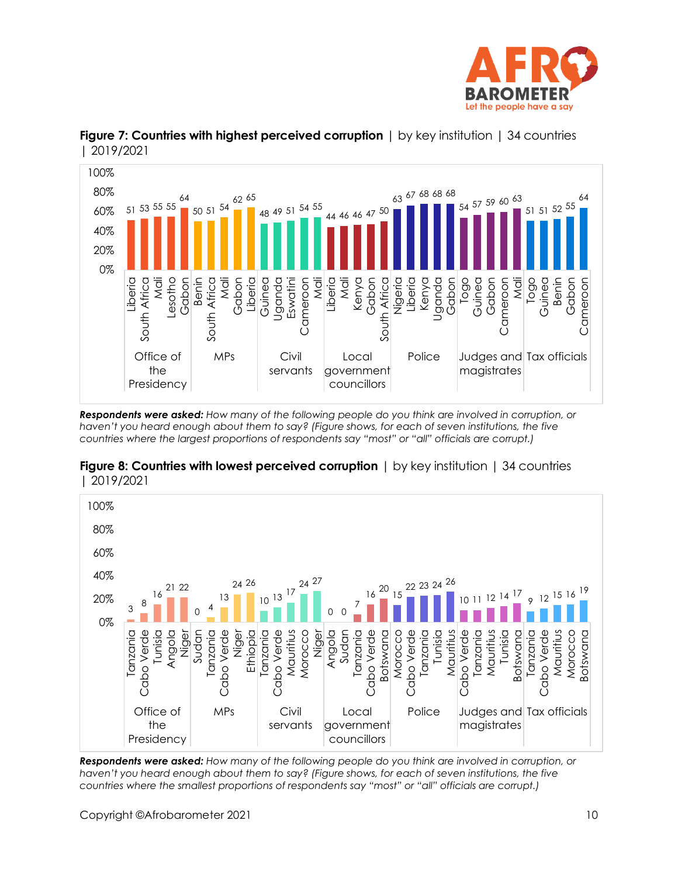



<span id="page-9-0"></span>**Figure 7: Countries with highest perceived corruption** | by key institution | 34 countries | 2019/2021

*Respondents were asked: How many of the following people do you think are involved in corruption, or haven't you heard enough about them to say? (Figure shows, for each of seven institutions, the five countries where the largest proportions of respondents say "most" or "all" officials are corrupt.)*



<span id="page-9-1"></span>**Figure 8: Countries with lowest perceived corruption**  $\vert$  by key institution  $\vert$  34 countries | 2019/2021

*Respondents were asked: How many of the following people do you think are involved in corruption, or haven't you heard enough about them to say? (Figure shows, for each of seven institutions, the five countries where the smallest proportions of respondents say "most" or "all" officials are corrupt.)*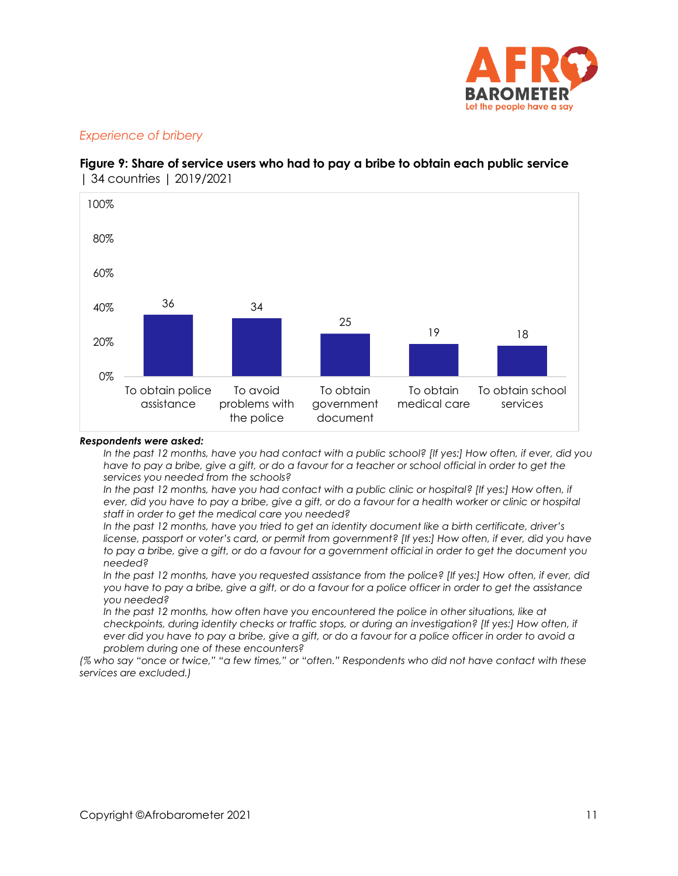

# *Experience of bribery*



<span id="page-10-0"></span>**Figure 9: Share of service users who had to pay a bribe to obtain each public service**  | 34 countries | 2019/2021

#### *Respondents were asked:*

*In the past 12 months, have you had contact with a public school? [If yes:] How often, if ever, did you*  have to pay a bribe, give a gift, or do a favour for a teacher or school official in order to get the *services you needed from the schools?*

*In the past 12 months, have you had contact with a public clinic or hospital? [If yes:] How often, if ever, did you have to pay a bribe, give a gift, or do a favour for a health worker or clinic or hospital staff in order to get the medical care you needed?*

*In the past 12 months, have you tried to get an identity document like a birth certificate, driver's license, passport or voter's card, or permit from government? [If yes:] How often, if ever, did you have to pay a bribe, give a gift, or do a favour for a government official in order to get the document you needed?*

*In the past 12 months, have you requested assistance from the police? [If yes:] How often, if ever, did you have to pay a bribe, give a gift, or do a favour for a police officer in order to get the assistance you needed?* 

In the past 12 months, how often have you encountered the police in other situations, like at *checkpoints, during identity checks or traffic stops, or during an investigation? [If yes:] How often, if ever did you have to pay a bribe, give a gift, or do a favour for a police officer in order to avoid a problem during one of these encounters?*

*(% who say "once or twice," "a few times," or "often." Respondents who did not have contact with these services are excluded.)*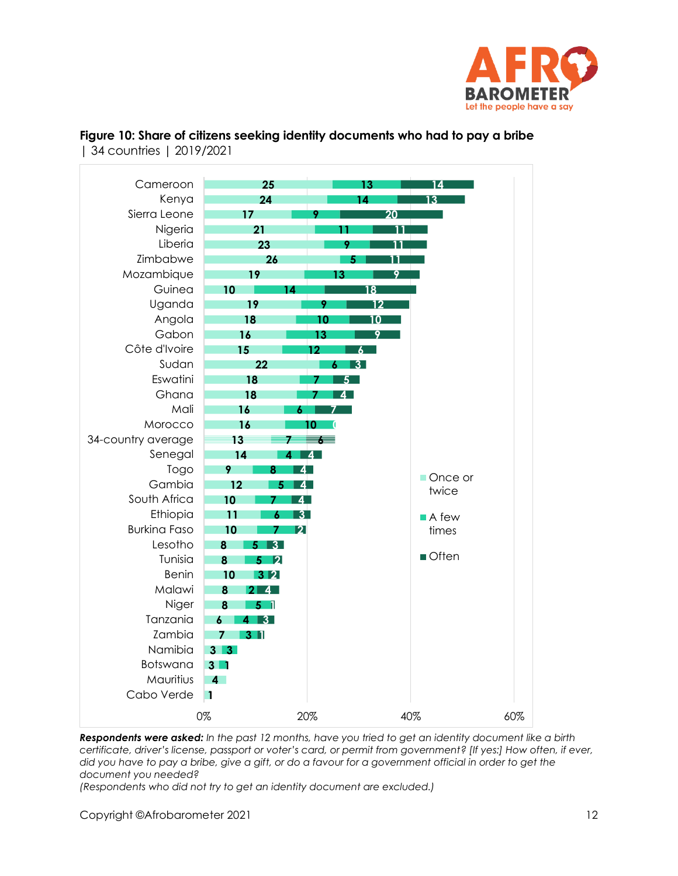



<span id="page-11-0"></span>**Figure 10: Share of citizens seeking identity documents who had to pay a bribe**  | 34 countries | 2019/2021

*Respondents were asked: In the past 12 months, have you tried to get an identity document like a birth certificate, driver's license, passport or voter's card, or permit from government? [If yes:] How often, if ever, did you have to pay a bribe, give a gift, or do a favour for a government official in order to get the document you needed?*

*(Respondents who did not try to get an identity document are excluded.)*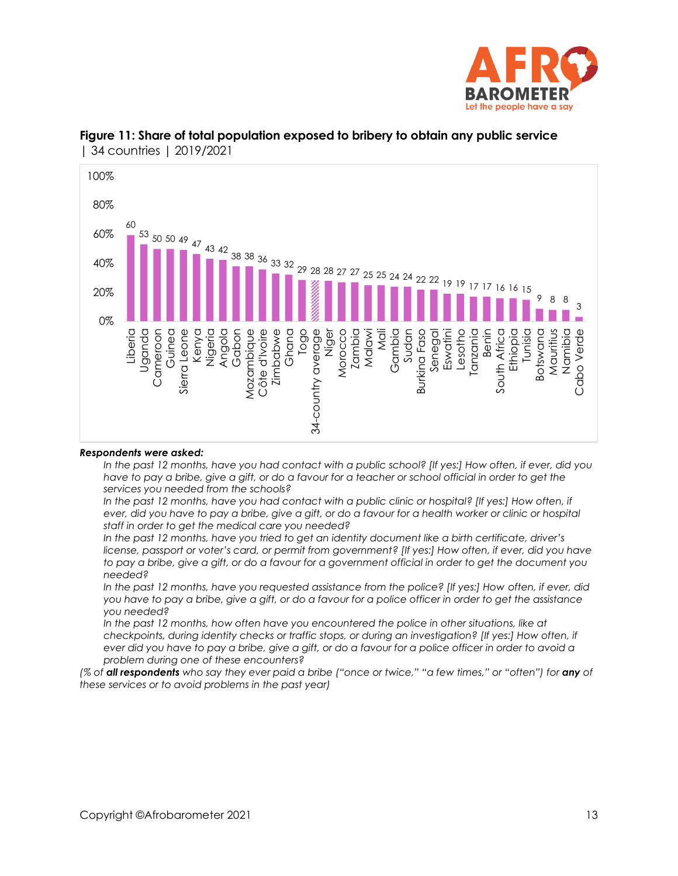



#### <span id="page-12-0"></span>**Figure 11: Share of total population exposed to bribery to obtain any public service**  | 34 countries | 2019/2021

#### *Respondents were asked:*

*In the past 12 months, have you had contact with a public school? [If yes:] How often, if ever, did you have to pay a bribe, give a gift, or do a favour for a teacher or school official in order to get the services you needed from the schools?*

*In the past 12 months, have you had contact with a public clinic or hospital? [If yes:] How often, if ever, did you have to pay a bribe, give a gift, or do a favour for a health worker or clinic or hospital staff in order to get the medical care you needed?*

*In the past 12 months, have you tried to get an identity document like a birth certificate, driver's license, passport or voter's card, or permit from government? [If yes:] How often, if ever, did you have to pay a bribe, give a gift, or do a favour for a government official in order to get the document you needed?*

*In the past 12 months, have you requested assistance from the police? [If yes:] How often, if ever, did you have to pay a bribe, give a gift, or do a favour for a police officer in order to get the assistance you needed?* 

In the past 12 months, how often have you encountered the police in other situations, like at *checkpoints, during identity checks or traffic stops, or during an investigation? [If yes:] How often, if ever did you have to pay a bribe, give a gift, or do a favour for a police officer in order to avoid a problem during one of these encounters?*

*(% of all respondents who say they ever paid a bribe ("once or twice," "a few times," or "often") for any of these services or to avoid problems in the past year)*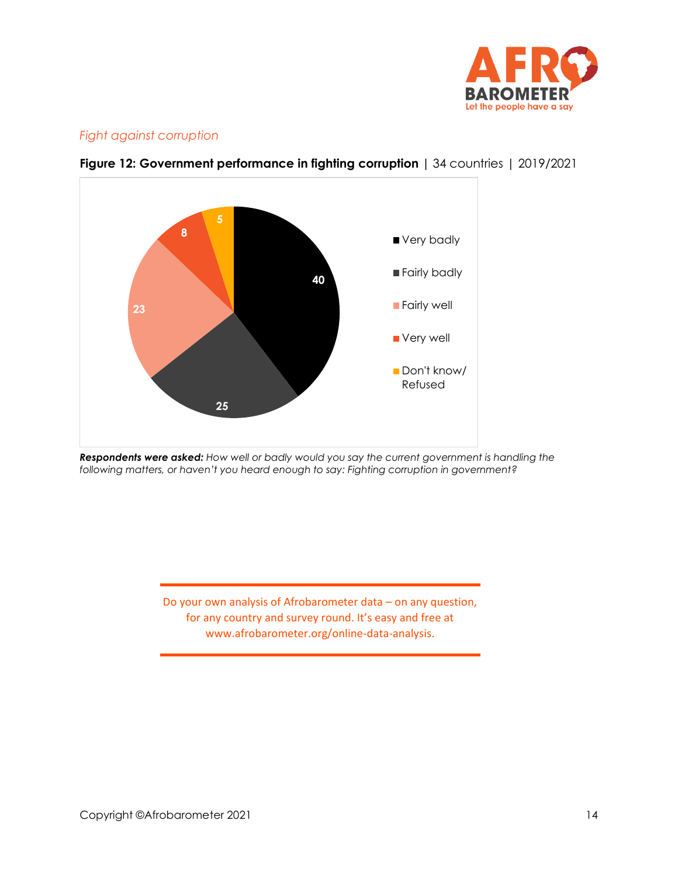

# *Fight against corruption*



<span id="page-13-0"></span>**Figure 12: Government performance in fighting corruption |** 34 countries | 2019/2021

*Respondents were asked: How well or badly would you say the current government is handling the following matters, or haven't you heard enough to say: Fighting corruption in government?*

> Do your own analysis of Afrobarometer data – on any question, for any country and survey round. It's easy and free at www.afrobarometer.org/online-data-analysis.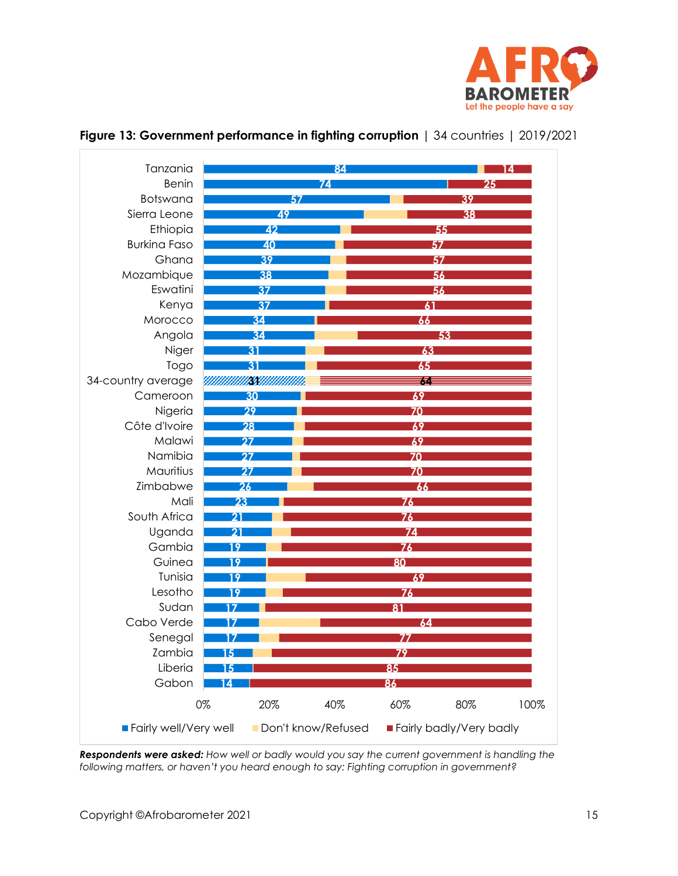

| Tanzania              |                 | 84                 |                 |                         | Δ    |
|-----------------------|-----------------|--------------------|-----------------|-------------------------|------|
| <b>Benin</b>          |                 | 74                 |                 | 25                      |      |
| Botswana              |                 | 57                 |                 | 39                      |      |
| Sierra Leone          | 49              |                    |                 | 38                      |      |
| Ethiopia              | 42              |                    |                 | 55                      |      |
| <b>Burkina Faso</b>   | 40              |                    |                 | 57                      |      |
| Ghana                 | 39              |                    |                 | 57                      |      |
| Mozambique            | 38              |                    |                 | 56                      |      |
| Eswatini              | 37              |                    |                 | 56                      |      |
| Kenya                 | 37              |                    | 61              |                         |      |
| Morocco               | 34              |                    | 66              |                         |      |
| Angola                | 34              |                    |                 | 53                      |      |
| Niger                 | 31              |                    | 63              |                         |      |
| Togo                  | 31              |                    | 65              |                         |      |
| 34-country average    |                 |                    | 64              |                         |      |
| Cameroon              | 30              |                    | 69              |                         |      |
| Nigeria               | 29              |                    | 70              |                         |      |
| Côte d'Ivoire         | 28              |                    | 69              |                         |      |
| Malawi                | $\overline{27}$ |                    | 69              |                         |      |
| Namibia               | 27              |                    | 70              |                         |      |
| Mauritius             | 27              |                    | 70              |                         |      |
| Zimbabwe              | 26              |                    | 66              |                         |      |
| Mali                  | 23              |                    | $\overline{76}$ |                         |      |
| South Africa          | 21              |                    | $\overline{76}$ |                         |      |
| Uganda                | 21              |                    | 74              |                         |      |
| Gambia                | 19              |                    | 76              |                         |      |
| Guinea                | 19              |                    | 80              |                         |      |
| Tunisia               | 19              |                    | 69              |                         |      |
| Lesotho               | 19              |                    | 76              |                         |      |
| Sudan                 |                 |                    | 81              |                         |      |
| Cabo Verde            |                 |                    | 64              |                         |      |
| Senegal               |                 |                    | 77              |                         |      |
| Zambia                |                 |                    |                 |                         |      |
| Liberia               | 5               |                    | 85              |                         |      |
| Gabon                 |                 |                    | 86              |                         |      |
|                       | 20%<br>0%       | 40%                | 60%             | 80%                     | 100% |
| Fairly well/Very well |                 | Don't know/Refused |                 | Fairly badly/Very badly |      |

# <span id="page-14-0"></span>**Figure 13: Government performance in fighting corruption** | 34 countries | 2019/2021

*Respondents were asked: How well or badly would you say the current government is handling the following matters, or haven't you heard enough to say: Fighting corruption in government?*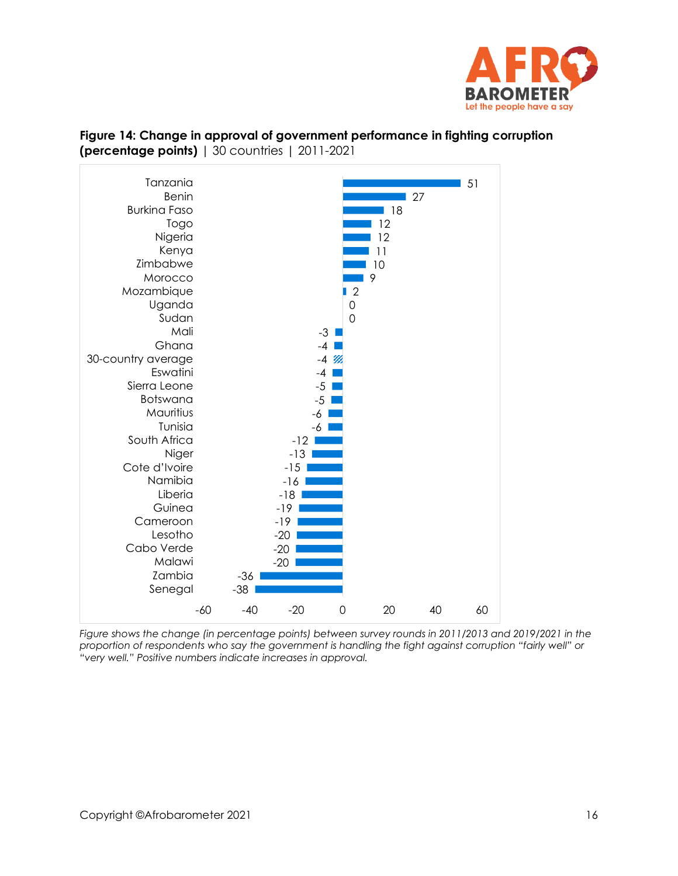



<span id="page-15-0"></span>**Figure 14: Change in approval of government performance in fighting corruption (percentage points)** | 30 countries | 2011-2021

*Figure shows the change (in percentage points) between survey rounds in 2011/2013 and 2019/2021 in the proportion of respondents who say the government is handling the fight against corruption "fairly well" or "very well." Positive numbers indicate increases in approval.*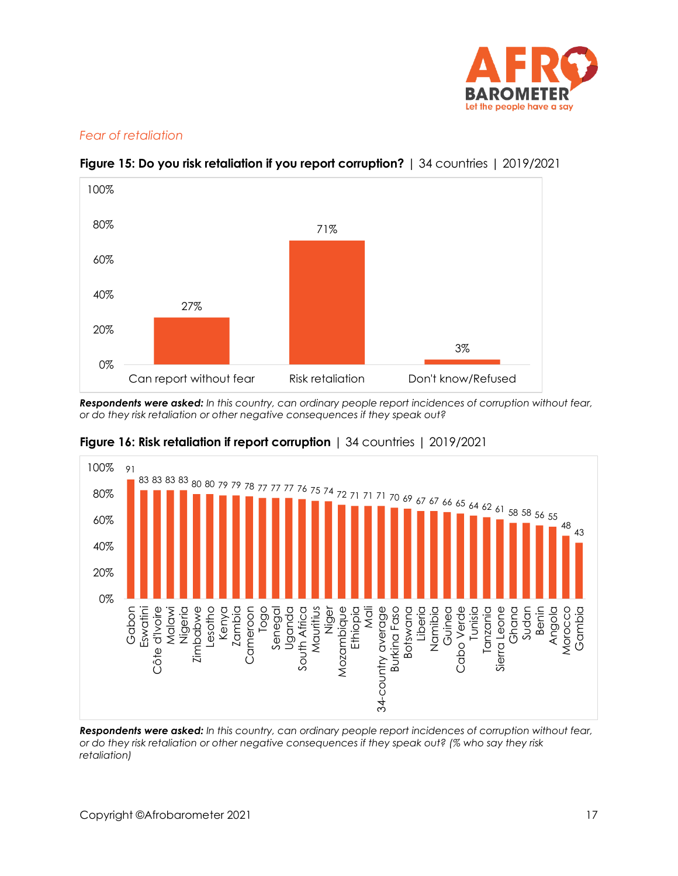

# *Fear of retaliation*



# <span id="page-16-0"></span>**Figure 15: Do you risk retaliation if you report corruption?** | 34 countries | 2019/2021

*Respondents were asked: In this country, can ordinary people report incidences of corruption without fear, or do they risk retaliation or other negative consequences if they speak out?*



# <span id="page-16-1"></span>**Figure 16: Risk retaliation if report corruption** | 34 countries | 2019/2021

*Respondents were asked: In this country, can ordinary people report incidences of corruption without fear, or do they risk retaliation or other negative consequences if they speak out? (% who say they risk retaliation)*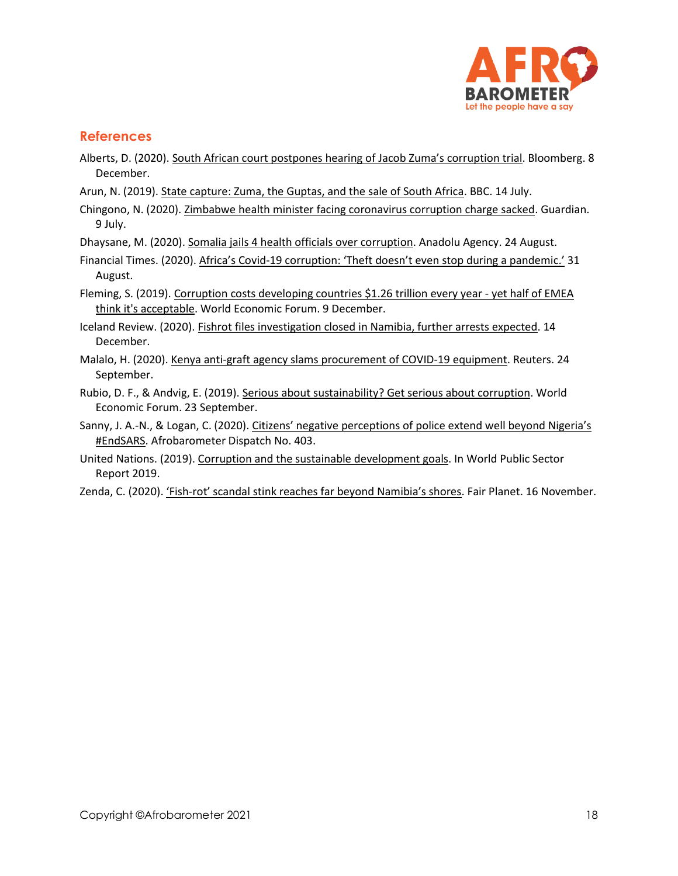

# **References**

- Alberts, D. (2020). [South African court postpones hearing of Jacob Zuma's corru](https://www.bloomberg.com/news/articles/2020-12-08/south-african-court-postpones-hearing-of-zuma-corruption-trial)ption trial. Bloomberg. 8 December.
- Arun, N. (2019)[. State capture: Zuma, the Guptas, and the sale of South Africa.](https://www.bbc.com/news/world-africa-48980964) BBC. 14 July.
- Chingono, N. (2020). [Zimbabwe health minister facing coronavirus corruption charge sacked.](https://www.theguardian.com/global-development/2020/jul/09/zimbabwe-health-minister-facing-coronavirus-corruption-charge-sacked) Guardian. 9 July.

Dhaysane, M. (2020). [Somalia jails 4 health officials over corruption.](https://www.aa.com.tr/en/africa/somalia-jails-4-health-officials-over-corruption/1951561) Anadolu Agency. 24 August.

- Financial Times. (2020). Africa's Covid-[19 corruption: 'Theft doesn't even stop during a pandemic.'](https://www.ft.com/content/617187c2-ab0b-4cf9-bdca-0aa246548745) 31 August.
- Fleming, S. (2019). [Corruption costs developing countries \\$1.26 trillion every year -](https://www.weforum.org/agenda/2019/12/corruption-global-problem-statistics-cost/) yet half of EMEA [think it's acceptable.](https://www.weforum.org/agenda/2019/12/corruption-global-problem-statistics-cost/) World Economic Forum. 9 December.
- Iceland Review. (2020)[. Fishrot files investigation closed in Namibia, further arrests expected.](file:///C:/Users/BrianHoward/Documents/Afrobarometer/Global%20releases/R8/First%20half%20(18%20countries)-sept20/Corruption-oct20/Fishrot%20Files%20Investigation%20Closed%20in%20Namibia,%20Further%20Arrests%20Expected) 14 December.
- Malalo, H. (2020)[. Kenya anti-graft agency slams procurement of COVID-19 equipment.](https://www.reuters.com/article/us-kenya-corruption/kenya-anti-graft-agency-slams-procurement-of-covid-19-equipment-idUSKCN26F3CC) Reuters. 24 September.
- Rubio, D. F., & Andvig, E. (2019). [Serious about sustainability? Get serious about corruption.](https://www.weforum.org/agenda/2019/09/serious-about-sustainability-get-serious-about-corruption/) World Economic Forum. 23 September.
- Sanny, J. A.-N., & Logan, C. (2020). Citizens' negative perceptions of police extend well beyond Nigeria's [#EndSARS.](https://afrobarometer.org/sites/default/files/publications/Dispatches/ad403-negative_perceptions_of_police_go_well_beyond_nigeria-afrobarometer_dispatch-v4-5nov20.pdf) Afrobarometer Dispatch No. 403.
- United Nations. (2019)[. Corruption and the sustainable development goals.](https://doi.org/10.18356/9b4bda79-en) In World Public Sector Report 2019.
- Zenda, C. (2020). 'Fish-[rot' scandal stink reaches far beyond Namibia's shores](https://www.fairplanet.org/story/%E2%80%98fish-rot%E2%80%99-scandal-stink-reaches-far-beyond-namibia%E2%80%99s-shores/). Fair Planet. 16 November.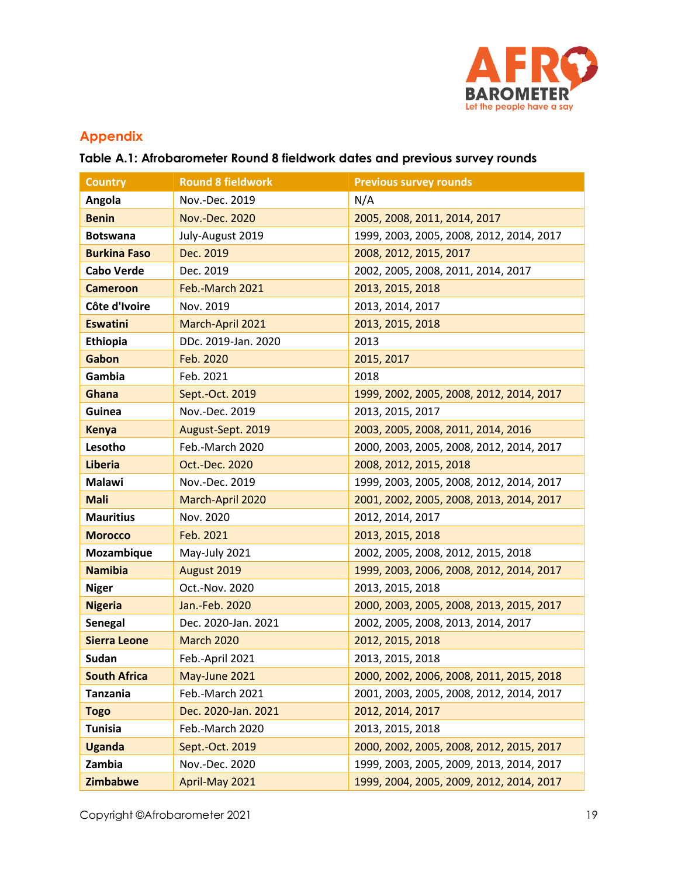

# **Appendix**

# **Table A.1: Afrobarometer Round 8 fieldwork dates and previous survey rounds**

| <b>Country</b>      | <b>Round 8 fieldwork</b> | <b>Previous survey rounds</b>            |
|---------------------|--------------------------|------------------------------------------|
| Angola              | Nov.-Dec. 2019           | N/A                                      |
| <b>Benin</b>        | Nov.-Dec. 2020           | 2005, 2008, 2011, 2014, 2017             |
| <b>Botswana</b>     | July-August 2019         | 1999, 2003, 2005, 2008, 2012, 2014, 2017 |
| <b>Burkina Faso</b> | Dec. 2019                | 2008, 2012, 2015, 2017                   |
| <b>Cabo Verde</b>   | Dec. 2019                | 2002, 2005, 2008, 2011, 2014, 2017       |
| <b>Cameroon</b>     | Feb.-March 2021          | 2013, 2015, 2018                         |
| Côte d'Ivoire       | Nov. 2019                | 2013, 2014, 2017                         |
| <b>Eswatini</b>     | March-April 2021         | 2013, 2015, 2018                         |
| Ethiopia            | DDc. 2019-Jan. 2020      | 2013                                     |
| Gabon               | Feb. 2020                | 2015, 2017                               |
| Gambia              | Feb. 2021                | 2018                                     |
| Ghana               | Sept.-Oct. 2019          | 1999, 2002, 2005, 2008, 2012, 2014, 2017 |
| Guinea              | Nov.-Dec. 2019           | 2013, 2015, 2017                         |
| <b>Kenya</b>        | August-Sept. 2019        | 2003, 2005, 2008, 2011, 2014, 2016       |
| Lesotho             | Feb.-March 2020          | 2000, 2003, 2005, 2008, 2012, 2014, 2017 |
| <b>Liberia</b>      | Oct.-Dec. 2020           | 2008, 2012, 2015, 2018                   |
| <b>Malawi</b>       | Nov.-Dec. 2019           | 1999, 2003, 2005, 2008, 2012, 2014, 2017 |
| <b>Mali</b>         | March-April 2020         | 2001, 2002, 2005, 2008, 2013, 2014, 2017 |
| <b>Mauritius</b>    | Nov. 2020                | 2012, 2014, 2017                         |
| <b>Morocco</b>      | Feb. 2021                | 2013, 2015, 2018                         |
| Mozambique          | May-July 2021            | 2002, 2005, 2008, 2012, 2015, 2018       |
| <b>Namibia</b>      | August 2019              | 1999, 2003, 2006, 2008, 2012, 2014, 2017 |
| <b>Niger</b>        | Oct.-Nov. 2020           | 2013, 2015, 2018                         |
| <b>Nigeria</b>      | Jan.-Feb. 2020           | 2000, 2003, 2005, 2008, 2013, 2015, 2017 |
| <b>Senegal</b>      | Dec. 2020-Jan. 2021      | 2002, 2005, 2008, 2013, 2014, 2017       |
| <b>Sierra Leone</b> | <b>March 2020</b>        | 2012, 2015, 2018                         |
| Sudan               | Feb.-April 2021          | 2013, 2015, 2018                         |
| <b>South Africa</b> | May-June 2021            | 2000, 2002, 2006, 2008, 2011, 2015, 2018 |
| <b>Tanzania</b>     | Feb.-March 2021          | 2001, 2003, 2005, 2008, 2012, 2014, 2017 |
| <b>Togo</b>         | Dec. 2020-Jan. 2021      | 2012, 2014, 2017                         |
| <b>Tunisia</b>      | Feb.-March 2020          | 2013, 2015, 2018                         |
| <b>Uganda</b>       | Sept.-Oct. 2019          | 2000, 2002, 2005, 2008, 2012, 2015, 2017 |
| Zambia              | Nov.-Dec. 2020           | 1999, 2003, 2005, 2009, 2013, 2014, 2017 |
| Zimbabwe            | April-May 2021           | 1999, 2004, 2005, 2009, 2012, 2014, 2017 |